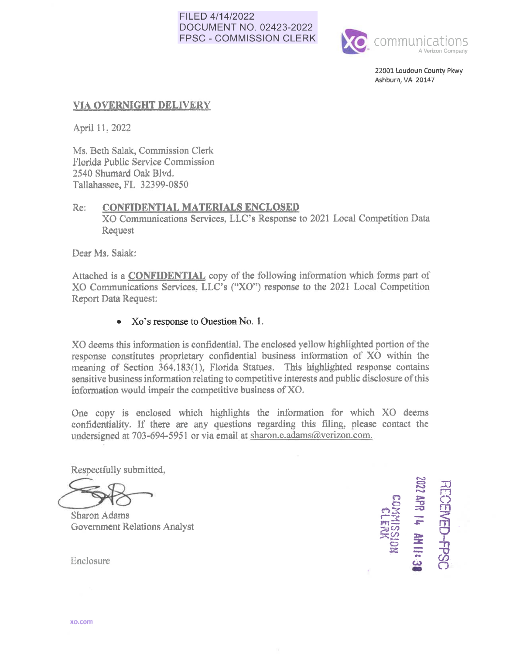### FILED 4/14/2022 DOCUMENT NO. 02423-2022 FPSC - COMMISSION CLERK



22001 Loudoun County Pkwy Ashburn, VA 20147

## **VIA OVERNIGHT DELIVERY**

April 11, 2022

Ms. Beth Salak, Commission Clerk Florida Public Service Commission 2540 Shumard Oak Blvd. Tallahassee, FL 32399-0850

### Re: **CONFIDENTIAL MATERIALS ENCLOSED**

XO Communications Services, LLC's Response to 2021 Local Competition Data Request

Dear Ms. Salak:

Attached is a **CONFIDENTIAL** copy of the following information which forms part of XO Communications Services, LLC's ("XO") response to the 2021 Local Competition Report Data Request:

## • Xo's response to Ouestion No. 1.

XO deems this infonnation is confidential. The enclosed yellow highlighted portion of the response constitutes proprietary confidential business information of XO within the meaning of Section 364.183(1), Florida Statues. This highlighted response contains sensitive business information relating to competitive interests and public disclosure of this information would impair the competitive business of XO.

One copy is enclosed which highlights the information for which XO deems confidentiality. If there are any questions regarding this filing, please contact the undersigned at 703-694-5951 or via email at sharon.e.adams(@verizon.com.

Respectfully submitted,

**6 Sharon Adams**<br>**6** Government Relations Analyst

 $z$ 03<br>d¥ 72  $\frac{1}{2}$   $\frac{1}{2}$   $\frac{1}{2}$   $\frac{1}{2}$   $\frac{1}{2}$   $\frac{1}{2}$   $\frac{1}{2}$   $\frac{1}{2}$   $\frac{1}{2}$   $\frac{1}{2}$   $\frac{1}{2}$   $\frac{1}{2}$   $\frac{1}{2}$   $\frac{1}{2}$   $\frac{1}{2}$   $\frac{1}{2}$   $\frac{1}{2}$   $\frac{1}{2}$   $\frac{1}{2}$   $\frac{1}{2}$   $\frac{1}{2}$   $\frac{1}{2}$   $\approx$ <u>ಹಿ</u>ಬಿ ,, <sup>0</sup>**:z**   $\frac{22}{2}$  =  $\frac{22}{11}$  Enclosure **C.i)**  11:38  $\overline{\mathcal{D}}$  $\mathbf{E}$  $\Xi$ ENED-FPSC